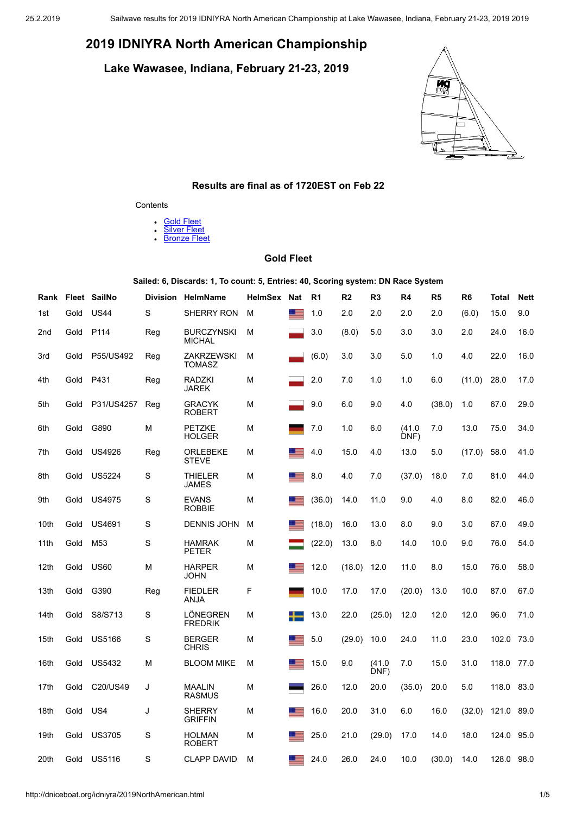# **2019 IDNIYRA North American Championship**

**Lake Wawasee, Indiana, February 21-23, 2019**



# **Results are final as of 1720EST on Feb 22**

#### **Contents**

- **Gold [Fleet](#page-0-0)**  $\bullet$
- $\ddot{\phantom{0}}$ **[Silver](#page-1-0) Fleet**
- **[Bronze](#page-2-0) Fleet**

# **Gold Fleet**

**Sailed: 6, Discards: 1, To count: 5, Entries: 40, Scoring system: DN Race System**

<span id="page-0-0"></span>

| Rank |      | Fleet SailNo     | <b>Division</b> | <b>HelmName</b>                    | <b>HelmSex</b> | Nat          | R1     | R <sub>2</sub> | R <sub>3</sub> | R4             | R <sub>5</sub> | R <sub>6</sub> | <b>Total</b> | <b>Nett</b> |
|------|------|------------------|-----------------|------------------------------------|----------------|--------------|--------|----------------|----------------|----------------|----------------|----------------|--------------|-------------|
| 1st  | Gold | <b>US44</b>      | S               | <b>SHERRY RON</b>                  | М              | ▝            | 1.0    | 2.0            | 2.0            | 2.0            | 2.0            | (6.0)          | 15.0         | 9.0         |
| 2nd  | Gold | P <sub>114</sub> | Reg             | <b>BURCZYNSKI</b><br><b>MICHAL</b> | М              |              | 3.0    | (8.0)          | 5.0            | 3.0            | 3.0            | 2.0            | 24.0         | 16.0        |
| 3rd  | Gold | P55/US492        | Reg             | <b>ZAKRZEWSKI</b><br><b>TOMASZ</b> | M              |              | (6.0)  | 3.0            | 3.0            | 5.0            | 1.0            | 4.0            | 22.0         | 16.0        |
| 4th  | Gold | P431             | Reg             | RADZKI<br><b>JAREK</b>             | Μ              |              | 2.0    | 7.0            | 1.0            | 1.0            | 6.0            | (11.0)         | 28.0         | 17.0        |
| 5th  | Gold | P31/US4257       | Reg             | <b>GRACYK</b><br><b>ROBERT</b>     | М              |              | 9.0    | 6.0            | 9.0            | 4.0            | (38.0)         | 1.0            | 67.0         | 29.0        |
| 6th  | Gold | G890             | М               | <b>PETZKE</b><br><b>HOLGER</b>     | М              |              | 7.0    | 1.0            | 6.0            | (41.0)<br>DNF) | 7.0            | 13.0           | 75.0         | 34.0        |
| 7th  | Gold | US4926           | Reg             | ORLEBEKE<br><b>STEVE</b>           | Μ              |              | 4.0    | 15.0           | 4.0            | 13.0           | 5.0            | (17.0)         | 58.0         | 41.0        |
| 8th  | Gold | <b>US5224</b>    | S               | <b>THIELER</b><br><b>JAMES</b>     | М              | - 23         | 8.0    | 4.0            | 7.0            | (37.0)         | 18.0           | 7.0            | 81.0         | 44.0        |
| 9th  | Gold | <b>US4975</b>    | S               | <b>EVANS</b><br><b>ROBBIE</b>      | M              |              | (36.0) | 14.0           | 11.0           | 9.0            | 4.0            | 8.0            | 82.0         | 46.0        |
| 10th | Gold | US4691           | S               | <b>DENNIS JOHN</b>                 | M              |              | (18.0) | 16.0           | 13.0           | 8.0            | 9.0            | 3.0            | 67.0         | 49.0        |
| 11th | Gold | M <sub>53</sub>  | S               | <b>HAMRAK</b><br><b>PETER</b>      | Μ              |              | (22.0) | 13.0           | 8.0            | 14.0           | 10.0           | 9.0            | 76.0         | 54.0        |
| 12th | Gold | <b>US60</b>      | М               | <b>HARPER</b><br><b>JOHN</b>       | М              | <u>r is </u> | 12.0   | (18.0)         | 12.0           | 11.0           | 8.0            | 15.0           | 76.0         | 58.0        |
| 13th | Gold | G390             | Reg             | <b>FIEDLER</b><br><b>ANJA</b>      | F              |              | 10.0   | 17.0           | 17.0           | (20.0)         | 13.0           | 10.0           | 87.0         | 67.0        |
| 14th | Gold | S8/S713          | S               | LÖNEGREN<br><b>FREDRIK</b>         | M              |              | 13.0   | 22.0           | (25.0)         | 12.0           | 12.0           | 12.0           | 96.0         | 71.0        |
| 15th | Gold | <b>US5166</b>    | S               | <b>BERGER</b><br><b>CHRIS</b>      | М              |              | 5.0    | (29.0)         | 10.0           | 24.0           | 11.0           | 23.0           | 102.0        | 73.0        |
| 16th | Gold | <b>US5432</b>    | M               | <b>BLOOM MIKE</b>                  | Μ              | <b>First</b> | 15.0   | 9.0            | (41.0)<br>DNF) | 7.0            | 15.0           | 31.0           | 118.0        | 77.0        |
| 17th | Gold | C20/US49         | J               | <b>MAALIN</b><br><b>RASMUS</b>     | М              |              | 26.0   | 12.0           | 20.0           | (35.0)         | 20.0           | 5.0            | 118.0        | 83.0        |
| 18th | Gold | US4              | J               | <b>SHERRY</b><br><b>GRIFFIN</b>    | М              |              | 16.0   | 20.0           | 31.0           | 6.0            | 16.0           | (32.0)         | 121.0        | 89.0        |
| 19th | Gold | <b>US3705</b>    | S               | <b>HOLMAN</b><br><b>ROBERT</b>     | М              |              | 25.0   | 21.0           | (29.0)         | 17.0           | 14.0           | 18.0           | 124.0        | 95.0        |
| 20th | Gold | <b>US5116</b>    | S               | <b>CLAPP DAVID</b>                 | М              | - 5          | 24.0   | 26.0           | 24.0           | 10.0           | (30.0)         | 14.0           | 128.0        | 98.0        |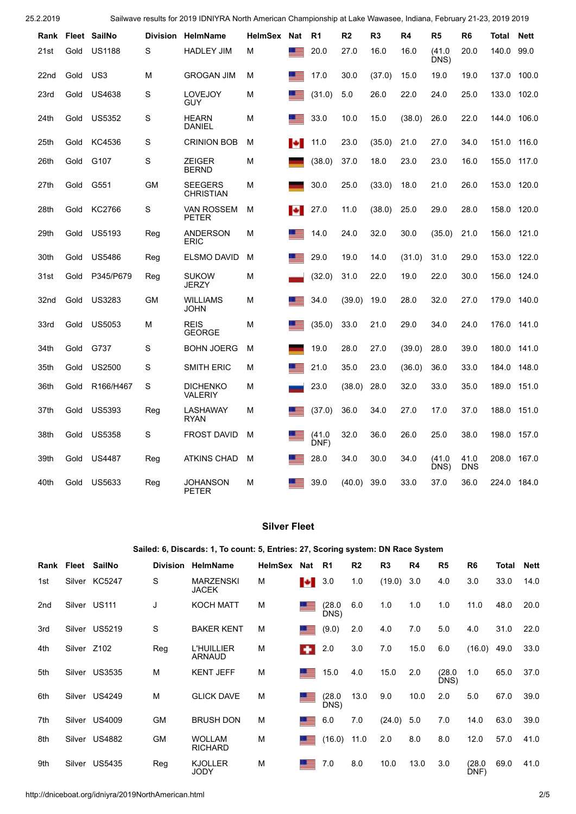25.2.2019 Sailwave results for 2019 IDNIYRA North American Championship at Lake Wawasee, Indiana, February 21-23, 2019 2019

|      |      | Rank Fleet SailNo                  | <b>Division</b> | HelmName                           | HelmSex | Nat             | R <sub>1</sub> | R <sub>2</sub> | R <sub>3</sub> | R4     | R <sub>5</sub> | R <sub>6</sub> | Total | <b>Nett</b> |
|------|------|------------------------------------|-----------------|------------------------------------|---------|-----------------|----------------|----------------|----------------|--------|----------------|----------------|-------|-------------|
| 21st | Gold | <b>US1188</b>                      | S               | <b>HADLEY JIM</b>                  | м       | $=$             | 20.0           | 27.0           | 16.0           | 16.0   | (41.0)<br>DNS) | 20.0           | 140.0 | 99.0        |
| 22nd | Gold | US <sub>3</sub>                    | М               | <b>GROGAN JIM</b>                  | M       | <b>FEE</b>      | 17.0           | 30.0           | (37.0)         | 15.0   | 19.0           | 19.0           | 137.0 | 100.0       |
| 23rd | Gold | <b>US4638</b>                      | S               | <b>LOVEJOY</b><br><b>GUY</b>       | М       |                 | (31.0)         | 5.0            | 26.0           | 22.0   | 24.0           | 25.0           | 133.0 | 102.0       |
| 24th | Gold | <b>US5352</b>                      | S               | <b>HEARN</b><br><b>DANIEL</b>      | М       | <u> =</u>       | 33.0           | 10.0           | 15.0           | (38.0) | 26.0           | 22.0           | 144.0 | 106.0       |
| 25th | Gold | KC4536                             | S               | <b>CRINION BOB</b>                 | М       | ы               | 11.0           | 23.0           | (35.0)         | 21.0   | 27.0           | 34.0           | 151.0 | 116.0       |
| 26th | Gold | G107                               | S               | <b>ZEIGER</b><br><b>BERND</b>      | М       |                 | (38.0)         | 37.0           | 18.0           | 23.0   | 23.0           | 16.0           | 155.0 | 117.0       |
| 27th | Gold | G551                               | <b>GM</b>       | <b>SEEGERS</b><br><b>CHRISTIAN</b> | М       |                 | 30.0           | 25.0           | (33.0)         | 18.0   | 21.0           | 26.0           | 153.0 | 120.0       |
| 28th | Gold | KC2766                             | S               | <b>VAN ROSSEM</b><br><b>PETER</b>  | м       | 10              | 27.0           | 11.0           | (38.0)         | 25.0   | 29.0           | 28.0           | 158.0 | 120.0       |
| 29th | Gold | <b>US5193</b>                      | Reg             | <b>ANDERSON</b><br><b>ERIC</b>     | М       | <u> =</u>       | 14.0           | 24.0           | 32.0           | 30.0   | (35.0)         | 21.0           | 156.0 | 121.0       |
| 30th | Gold | <b>US5486</b>                      | Reg             | <b>ELSMO DAVID</b>                 | M       | <b>Research</b> | 29.0           | 19.0           | 14.0           | (31.0) | 31.0           | 29.0           | 153.0 | 122.0       |
| 31st | Gold | P345/P679                          | Reg             | <b>SUKOW</b><br><b>JERZY</b>       | М       |                 | (32.0)         | 31.0           | 22.0           | 19.0   | 22.0           | 30.0           | 156.0 | 124.0       |
| 32nd | Gold | <b>US3283</b>                      | GМ              | <b>WILLIAMS</b><br><b>JOHN</b>     | М       |                 | 34.0           | (39.0)         | 19.0           | 28.0   | 32.0           | 27.0           | 179.0 | 140.0       |
| 33rd | Gold | <b>US5053</b>                      | М               | <b>REIS</b><br><b>GEORGE</b>       | М       |                 | (35.0)         | 33.0           | 21.0           | 29.0   | 34.0           | 24.0           | 176.0 | 141.0       |
| 34th | Gold | G737                               | S               | <b>BOHN JOERG</b>                  | м       |                 | 19.0           | 28.0           | 27.0           | (39.0) | 28.0           | 39.0           | 180.0 | 141.0       |
| 35th | Gold | <b>US2500</b>                      | S               | <b>SMITH ERIC</b>                  | м       | <b>PERSONAL</b> | 21.0           | 35.0           | 23.0           | (36.0) | 36.0           | 33.0           | 184.0 | 148.0       |
| 36th | Gold | R <sub>166</sub> /H <sub>467</sub> | S               | <b>DICHENKO</b><br><b>VALERIY</b>  | м       |                 | 23.0           | (38.0)         | 28.0           | 32.0   | 33.0           | 35.0           | 189.0 | 151.0       |
| 37th | Gold | <b>US5393</b>                      | Reg             | LASHAWAY<br><b>RYAN</b>            | М       |                 | (37.0)         | 36.0           | 34.0           | 27.0   | 17.0           | 37.0           | 188.0 | 151.0       |
| 38th | Gold | <b>US5358</b>                      | S               | <b>FROST DAVID</b>                 | M       | <b>Part</b>     | (41.0)<br>DNF) | 32.0           | 36.0           | 26.0   | 25.0           | 38.0           | 198.0 | 157.0       |
| 39th | Gold | <b>US4487</b>                      | Reg             | <b>ATKINS CHAD</b>                 | м       | <u> =</u>       | 28.0           | 34.0           | 30.0           | 34.0   | (41.0)<br>DNS) | 41.0<br>DNS    | 208.0 | 167.0       |
| 40th | Gold | US5633                             | Reg             | <b>JOHANSON</b><br><b>PETER</b>    | М       |                 | 39.0           | (40.0)         | 39.0           | 33.0   | 37.0           | 36.0           | 224.0 | 184.0       |

# **Silver Fleet**

## **Sailed: 6, Discards: 1, To count: 5, Entries: 27, Scoring system: DN Race System**

<span id="page-1-0"></span>

| Rank            |             | Fleet SailNo  | <b>Division</b> | <b>HelmName</b>                  | <b>HelmSex</b> | Nat | R <sub>1</sub> | R <sub>2</sub> | R <sub>3</sub> | R4   | R <sub>5</sub> | R <sub>6</sub> | Total | <b>Nett</b> |
|-----------------|-------------|---------------|-----------------|----------------------------------|----------------|-----|----------------|----------------|----------------|------|----------------|----------------|-------|-------------|
| 1st             | Silver      | KC5247        | S               | <b>MARZENSKI</b><br><b>JACEK</b> | M              | ы   | 3.0            | 1.0            | (19.0)         | 3.0  | 4.0            | 3.0            | 33.0  | 14.0        |
| 2 <sub>nd</sub> |             | Silver US111  | J               | <b>KOCH MATT</b>                 | M              |     | (28.0<br>DNS)  | 6.0            | 1.0            | 1.0  | 1.0            | 11.0           | 48.0  | 20.0        |
| 3rd             | Silver      | <b>US5219</b> | S               | <b>BAKER KENT</b>                | M              |     | (9.0)          | 2.0            | 4.0            | 7.0  | 5.0            | 4.0            | 31.0  | 22.0        |
| 4th             | Silver Z102 |               | Reg             | <b>L'HUILLIER</b><br>ARNAUD      | M              |     | 2.0            | 3.0            | 7.0            | 15.0 | 6.0            | (16.0)         | 49.0  | 33.0        |
| 5th             |             | Silver US3535 | M               | <b>KENT JEFF</b>                 | M              |     | 15.0           | 4.0            | 15.0           | 2.0  | (28.0<br>DNS)  | 1.0            | 65.0  | 37.0        |
| 6th             |             | Silver US4249 | M               | <b>GLICK DAVE</b>                | M              |     | (28.0<br>DNS)  | 13.0           | 9.0            | 10.0 | 2.0            | 5.0            | 67.0  | 39.0        |
| 7th             |             | Silver US4009 | <b>GM</b>       | <b>BRUSH DON</b>                 | M              |     | 6.0            | 7.0            | (24.0)         | 5.0  | 7.0            | 14.0           | 63.0  | 39.0        |
| 8th             |             | Silver US4882 | <b>GM</b>       | <b>WOLLAM</b><br><b>RICHARD</b>  | M              |     | (16.0)         | 11.0           | 2.0            | 8.0  | 8.0            | 12.0           | 57.0  | 41.0        |
| 9th             |             | Silver US5435 | Reg             | <b>KJOLLER</b><br><b>JODY</b>    | M              |     | 7.0            | 8.0            | 10.0           | 13.0 | 3.0            | (28.0)<br>DNF) | 69.0  | 41.0        |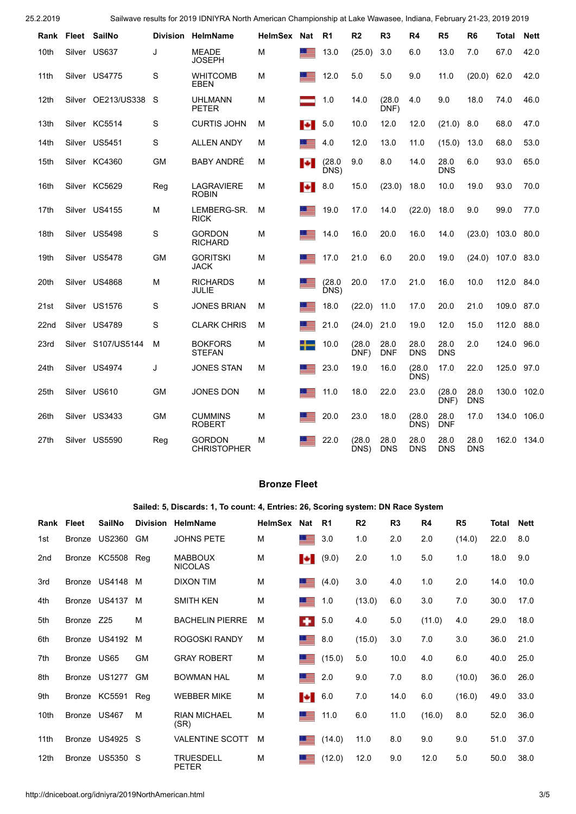25.2.2019 Sailwave results for 2019 IDNIYRA North American Championship at Lake Wawasee, Indiana, February 21-23, 2019 2019

| Rank             |        | Fleet SailNo       | <b>Division</b> | <b>HelmName</b>                     | <b>HelmSex</b> | Nat         | R1             | R <sub>2</sub> | R <sub>3</sub>     | R4                 | R <sub>5</sub>     | R <sub>6</sub>     | Total | <b>Nett</b> |
|------------------|--------|--------------------|-----------------|-------------------------------------|----------------|-------------|----------------|----------------|--------------------|--------------------|--------------------|--------------------|-------|-------------|
| 10th             |        | Silver US637       | J               | <b>MEADE</b><br><b>JOSEPH</b>       | M              | ▝▀          | 13.0           | (25.0)         | 3.0                | 6.0                | 13.0               | 7.0                | 67.0  | 42.0        |
| 11th             | Silver | <b>US4775</b>      | S               | <b>WHITCOMB</b><br><b>EBEN</b>      | М              | <b>PES</b>  | 12.0           | 5.0            | 5.0                | 9.0                | 11.0               | (20.0)             | 62.0  | 42.0        |
| 12th             |        | Silver OE213/US338 | S               | <b>UHLMANN</b><br><b>PETER</b>      | M              |             | 1.0            | 14.0           | (28.0)<br>DNF)     | 4.0                | 9.0                | 18.0               | 74.0  | 46.0        |
| 13th             |        | Silver KC5514      | S               | <b>CURTIS JOHN</b>                  | М              | ы           | 5.0            | 10.0           | 12.0               | 12.0               | (21.0)             | 8.0                | 68.0  | 47.0        |
| 14th             | Silver | <b>US5451</b>      | S               | <b>ALLEN ANDY</b>                   | М              | ▁▆          | 4.0            | 12.0           | 13.0               | 11.0               | (15.0)             | 13.0               | 68.0  | 53.0        |
| 15th             |        | Silver KC4360      | <b>GM</b>       | <b>BABY ANDRÉ</b>                   | М              | <b>P</b>    | (28.0)<br>DNS) | 9.0            | 8.0                | 14.0               | 28.0<br><b>DNS</b> | 6.0                | 93.0  | 65.0        |
| 16th             |        | Silver KC5629      | Reg             | <b>LAGRAVIERE</b><br><b>ROBIN</b>   | М              | ы           | 8.0            | 15.0           | (23.0)             | 18.0               | 10.0               | 19.0               | 93.0  | 70.0        |
| 17th             |        | Silver US4155      | м               | LEMBERG-SR.<br><b>RICK</b>          | M              |             | 19.0           | 17.0           | 14.0               | (22.0)             | 18.0               | 9.0                | 99.0  | 77.0        |
| 18th             | Silver | <b>US5498</b>      | S               | <b>GORDON</b><br><b>RICHARD</b>     | М              |             | 14.0           | 16.0           | 20.0               | 16.0               | 14.0               | (23.0)             | 103.0 | 80.0        |
| 19th             | Silver | US5478             | GM              | <b>GORITSKI</b><br><b>JACK</b>      | М              |             | 17.0           | 21.0           | 6.0                | 20.0               | 19.0               | (24.0)             | 107.0 | 83.0        |
| 20th             |        | Silver US4868      | М               | <b>RICHARDS</b><br>JULIE            | М              | ▏▆          | (28.0)<br>DNS) | 20.0           | 17.0               | 21.0               | 16.0               | 10.0               | 112.0 | 84.0        |
| 21st             |        | Silver US1576      | S               | <b>JONES BRIAN</b>                  | М              | <u>r a</u>  | 18.0           | (22.0)         | 11.0               | 17.0               | 20.0               | 21.0               | 109.0 | 87.0        |
| 22 <sub>nd</sub> |        | Silver US4789      | S               | <b>CLARK CHRIS</b>                  | М              |             | 21.0           | (24.0)         | 21.0               | 19.0               | 12.0               | 15.0               | 112.0 | 88.0        |
| 23rd             |        | Silver S107/US5144 | м               | <b>BOKFORS</b><br><b>STEFAN</b>     | М              | ┿           | 10.0           | (28.0)<br>DNF) | 28.0<br><b>DNF</b> | 28.0<br><b>DNS</b> | 28.0<br><b>DNS</b> | 2.0                | 124.0 | 96.0        |
| 24th             |        | Silver US4974      | J               | <b>JONES STAN</b>                   | М              |             | 23.0           | 19.0           | 16.0               | (28.0)<br>DNS)     | 17.0               | 22.0               | 125.0 | 97.0        |
| 25th             | Silver | <b>US610</b>       | <b>GM</b>       | <b>JONES DON</b>                    | М              | <u>e se</u> | 11.0           | 18.0           | 22.0               | 23.0               | (28.0)<br>DNF)     | 28.0<br><b>DNS</b> | 130.0 | 102.0       |
| 26th             | Silver | <b>US3433</b>      | <b>GM</b>       | <b>CUMMINS</b><br><b>ROBERT</b>     | M              |             | 20.0           | 23.0           | 18.0               | (28.0)<br>DNS)     | 28.0<br><b>DNF</b> | 17.0               | 134.0 | 106.0       |
| 27th             | Silver | <b>US5590</b>      | Reg             | <b>GORDON</b><br><b>CHRISTOPHER</b> | М              |             | 22.0           | (28.0)<br>DNS) | 28.0<br><b>DNS</b> | 28.0<br><b>DNS</b> | 28.0<br><b>DNS</b> | 28.0<br><b>DNS</b> | 162.0 | 134.0       |

# **Bronze Fleet**

**Sailed: 5, Discards: 1, To count: 4, Entries: 26, Scoring system: DN Race System**

<span id="page-2-0"></span>

| Rank            | Fleet        | <b>SailNo</b>   | <b>Division</b> | <b>HelmName</b>                  | <b>HelmSex</b> | <b>Nat</b> | R1     | R <sub>2</sub> | R <sub>3</sub> | R4     | R <sub>5</sub> | Total | <b>Nett</b> |
|-----------------|--------------|-----------------|-----------------|----------------------------------|----------------|------------|--------|----------------|----------------|--------|----------------|-------|-------------|
| 1st             | Bronze       | US2360          | <b>GM</b>       | <b>JOHNS PETE</b>                | M              |            | 3.0    | 1.0            | 2.0            | 2.0    | (14.0)         | 22.0  | 8.0         |
| 2 <sub>nd</sub> | Bronze       | KC5508          | Reg             | <b>MABBOUX</b><br><b>NICOLAS</b> | M              | ы          | (9.0)  | 2.0            | 1.0            | 5.0    | 1.0            | 18.0  | 9.0         |
| 3rd             |              | Bronze US4148   | M               | <b>DIXON TIM</b>                 | M              | 드          | (4.0)  | 3.0            | 4.0            | 1.0    | 2.0            | 14.0  | 10.0        |
| 4th             |              | Bronze US4137   | м               | <b>SMITH KEN</b>                 | M              | Æ          | 1.0    | (13.0)         | 6.0            | 3.0    | 7.0            | 30.0  | 17.0        |
| 5th             | Bronze       | Z25             | M               | <b>BACHELIN PIERRE</b>           | M              | ٠          | 5.0    | 4.0            | 5.0            | (11.0) | 4.0            | 29.0  | 18.0        |
| 6th             | Bronze       | US4192          | м               | ROGOSKI RANDY                    | M              | 드          | 8.0    | (15.0)         | 3.0            | 7.0    | 3.0            | 36.0  | 21.0        |
| 7th             | Bronze US65  |                 | <b>GM</b>       | <b>GRAY ROBERT</b>               | M              | 드          | (15.0) | 5.0            | 10.0           | 4.0    | 6.0            | 40.0  | 25.0        |
| 8th             |              | Bronze US1277   | <b>GM</b>       | <b>BOWMAN HAL</b>                | M              | 드르         | 2.0    | 9.0            | 7.0            | 8.0    | (10.0)         | 36.0  | 26.0        |
| 9th             | Bronze       | KC5591          | Reg             | <b>WEBBER MIKE</b>               | M              | ы          | 6.0    | 7.0            | 14.0           | 6.0    | (16.0)         | 49.0  | 33.0        |
| 10th            | Bronze US467 |                 | м               | <b>RIAN MICHAEL</b><br>(SR)      | M              | 트          | 11.0   | 6.0            | 11.0           | (16.0) | 8.0            | 52.0  | 36.0        |
| 11th            |              | Bronze US4925 S |                 | <b>VALENTINE SCOTT</b>           | м              | 드르         | (14.0) | 11.0           | 8.0            | 9.0    | 9.0            | 51.0  | 37.0        |
| 12th            | Bronze       | <b>US5350 S</b> |                 | <b>TRUESDELL</b><br><b>PETER</b> | M              |            | (12.0) | 12.0           | 9.0            | 12.0   | 5.0            | 50.0  | 38.0        |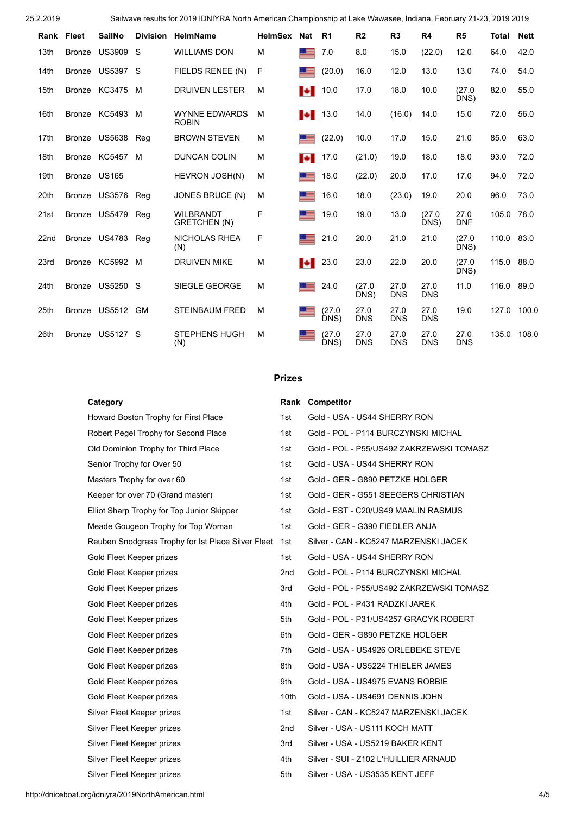25.2.2019 Sailwave results for 2019 IDNIYRA North American Championship at Lake Wawasee, Indiana, February 21-23, 2019 2019

| Rank | Fleet         | <b>SailNo</b> | <b>Division</b> | HelmName                             | <b>HelmSex</b> | <b>Nat</b>       | R <sub>1</sub> | R <sub>2</sub>     | R3                 | R <sub>4</sub>     | R <sub>5</sub>     | Total | <b>Nett</b> |
|------|---------------|---------------|-----------------|--------------------------------------|----------------|------------------|----------------|--------------------|--------------------|--------------------|--------------------|-------|-------------|
| 13th | <b>Bronze</b> | <b>US3909</b> | S               | <b>WILLIAMS DON</b>                  | M              |                  | 7.0            | 8.0                | 15.0               | (22.0)             | 12.0               | 64.0  | 42.0        |
| 14th | <b>Bronze</b> | US5397        | S               | FIELDS RENEE (N)                     | F              |                  | (20.0)         | 16.0               | 12.0               | 13.0               | 13.0               | 74.0  | 54.0        |
| 15th | <b>Bronze</b> | KC3475        | м               | <b>DRUIVEN LESTER</b>                | M              | м                | 10.0           | 17.0               | 18.0               | 10.0               | (27.0)<br>DNS)     | 82.0  | 55.0        |
| 16th | Bronze        | KC5493        | M               | <b>WYNNE EDWARDS</b><br><b>ROBIN</b> | M              | ы                | 13.0           | 14.0               | (16.0)             | 14.0               | 15.0               | 72.0  | 56.0        |
| 17th | Bronze        | US5638        | Rea             | <b>BROWN STEVEN</b>                  | M              |                  | (22.0)         | 10.0               | 17.0               | 15.0               | 21.0               | 85.0  | 63.0        |
| 18th | <b>Bronze</b> | KC5457        | M               | <b>DUNCAN COLIN</b>                  | M              | ы                | 17.0           | (21.0)             | 19.0               | 18.0               | 18.0               | 93.0  | 72.0        |
| 19th | Bronze US165  |               |                 | HEVRON JOSH(N)                       | M              |                  | 18.0           | (22.0)             | 20.0               | 17.0               | 17.0               | 94.0  | 72.0        |
| 20th |               | Bronze US3576 | Reg             | JONES BRUCE (N)                      | M              |                  | 16.0           | 18.0               | (23.0)             | 19.0               | 20.0               | 96.0  | 73.0        |
| 21st |               | Bronze US5479 | Reg             | <b>WILBRANDT</b><br>GRETCHEN (N)     | F              |                  | 19.0           | 19.0               | 13.0               | (27.0)<br>DNS)     | 27.0<br><b>DNF</b> | 105.0 | 78.0        |
| 22nd |               | Bronze US4783 | Reg             | <b>NICHOLAS RHEA</b><br>(N)          | F              |                  | 21.0           | 20.0               | 21.0               | 21.0               | (27.0)<br>DNS)     | 110.0 | 83.0        |
| 23rd |               | Bronze KC5992 | M               | <b>DRUIVEN MIKE</b>                  | M              | $\ddot{\bullet}$ | 23.0           | 23.0               | 22.0               | 20.0               | (27.0)<br>DNS)     | 115.0 | 88.0        |
| 24th | <b>Bronze</b> | US5250        | S               | SIEGLE GEORGE                        | M              | 三                | 24.0           | (27.0)<br>DNS)     | 27.0<br><b>DNS</b> | 27.0<br><b>DNS</b> | 11.0               | 116.0 | 89.0        |
| 25th | <b>Bronze</b> | US5512        | <b>GM</b>       | <b>STEINBAUM FRED</b>                | M              |                  | (27.0<br>DNS)  | 27.0<br><b>DNS</b> | 27.0<br><b>DNS</b> | 27.0<br><b>DNS</b> | 19.0               | 127.0 | 100.0       |
| 26th | <b>Bronze</b> | US5127        | S               | <b>STEPHENS HUGH</b><br>(N)          | м              |                  | (27.0<br>DNS)  | 27.0<br><b>DNS</b> | 27.0<br><b>DNS</b> | 27.0<br><b>DNS</b> | 27.0<br><b>DNS</b> | 135.0 | 108.0       |

## **Prizes**

| Category                                           |                  | <b>Rank Competitor</b>                   |
|----------------------------------------------------|------------------|------------------------------------------|
| Howard Boston Trophy for First Place               | 1st              | Gold - USA - US44 SHERRY RON             |
| Robert Pegel Trophy for Second Place               | 1st              | Gold - POL - P114 BURCZYNSKI MICHAL      |
| Old Dominion Trophy for Third Place                | 1st              | Gold - POL - P55/US492 ZAKRZEWSKI TOMASZ |
| Senior Trophy for Over 50                          | 1st              | Gold - USA - US44 SHERRY RON             |
| Masters Trophy for over 60                         | 1st              | Gold - GER - G890 PETZKE HOLGER          |
| Keeper for over 70 (Grand master)                  | 1st              | Gold - GER - G551 SEEGERS CHRISTIAN      |
| Elliot Sharp Trophy for Top Junior Skipper         | 1st              | Gold - EST - C20/US49 MAALIN RASMUS      |
| Meade Gougeon Trophy for Top Woman                 | 1st              | Gold - GER - G390 FIEDLER ANJA           |
| Reuben Snodgrass Trophy for Ist Place Silver Fleet | 1st              | Silver - CAN - KC5247 MARZENSKI JACEK    |
| Gold Fleet Keeper prizes                           | 1st              | Gold - USA - US44 SHERRY RON             |
| Gold Fleet Keeper prizes                           | 2 <sub>nd</sub>  | Gold - POL - P114 BURCZYNSKI MICHAL      |
| Gold Fleet Keeper prizes                           | 3rd              | Gold - POL - P55/US492 ZAKRZEWSKI TOMASZ |
| Gold Fleet Keeper prizes                           | 4th              | Gold - POL - P431 RADZKI JAREK           |
| Gold Fleet Keeper prizes                           | 5th              | Gold - POL - P31/US4257 GRACYK ROBERT    |
| Gold Fleet Keeper prizes                           | 6th              | Gold - GER - G890 PETZKE HOLGER          |
| Gold Fleet Keeper prizes                           | 7th              | Gold - USA - US4926 ORLEBEKE STEVE       |
| Gold Fleet Keeper prizes                           | 8th              | Gold - USA - US5224 THIELER JAMES        |
| Gold Fleet Keeper prizes                           | 9th              | Gold - USA - US4975 EVANS ROBBIE         |
| Gold Fleet Keeper prizes                           | 10 <sub>th</sub> | Gold - USA - US4691 DENNIS JOHN          |
| Silver Fleet Keeper prizes                         | 1st              | Silver - CAN - KC5247 MARZENSKI JACEK    |
| Silver Fleet Keeper prizes                         | 2 <sub>nd</sub>  | Silver - USA - US111 KOCH MATT           |
| Silver Fleet Keeper prizes                         | 3rd              | Silver - USA - US5219 BAKER KENT         |
| Silver Fleet Keeper prizes                         | 4th              | Silver - SUI - Z102 L'HUILLIER ARNAUD    |
| Silver Fleet Keeper prizes                         | 5th              | Silver - USA - US3535 KENT JEFF          |

http://dniceboat.org/idniyra/2019NorthAmerican.html 4/5